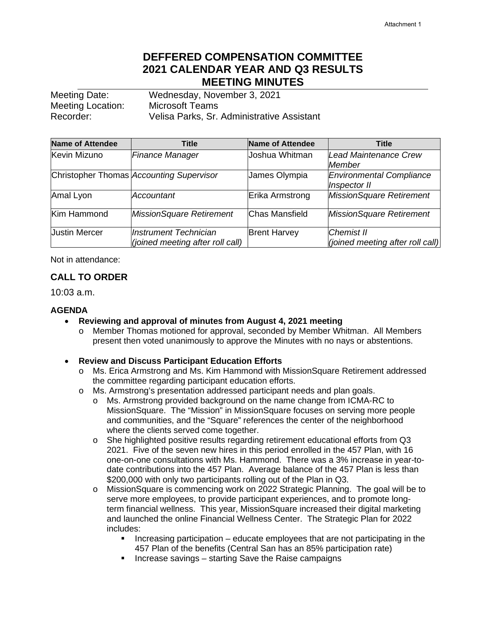# **DEFFERED COMPENSATION COMMITTEE 2021 CALENDAR YEAR AND Q3 RESULTS MEETING MINUTES**

| Meeting Date:     | Wednesday, November 3, 2021                |  |  |
|-------------------|--------------------------------------------|--|--|
| Meeting Location: | <b>Microsoft Teams</b>                     |  |  |
| Recorder:         | Velisa Parks, Sr. Administrative Assistant |  |  |

| <b>Name of Attendee</b> | Title                                                     | Name of Attendee      | <b>Title</b>                                   |
|-------------------------|-----------------------------------------------------------|-----------------------|------------------------------------------------|
| Kevin Mizuno            | Finance Manager                                           | Joshua Whitman        | Lead Maintenance Crew<br>lMember               |
|                         | Christopher Thomas Accounting Supervisor                  | James Olympia         | Environmental Compliance<br>Inspector II       |
| Amal Lyon               | <b>Accountant</b>                                         | Erika Armstrong       | MissionSquare Retirement                       |
| Kim Hammond             | MissionSquare Retirement                                  | <b>Chas Mansfield</b> | MissionSquare Retirement                       |
| <b>Justin Mercer</b>    | Instrument Technician<br>(joined meeting after roll call) | <b>Brent Harvey</b>   | Chemist II<br>(joined meeting after roll call) |

Not in attendance:

# **CALL TO ORDER**

10:03 a.m.

#### **AGENDA**

- **Reviewing and approval of minutes from August 4, 2021 meeting**
	- o Member Thomas motioned for approval, seconded by Member Whitman. All Members present then voted unanimously to approve the Minutes with no nays or abstentions.

#### • **Review and Discuss Participant Education Efforts**

- o Ms. Erica Armstrong and Ms. Kim Hammond with MissionSquare Retirement addressed the committee regarding participant education efforts.
- o Ms. Armstrong's presentation addressed participant needs and plan goals.<br>
o Ms. Armstrong provided background on the name change from ICMA-R
	- Ms. Armstrong provided background on the name change from ICMA-RC to MissionSquare. The "Mission" in MissionSquare focuses on serving more people and communities, and the "Square" references the center of the neighborhood where the clients served come together.
	- o She highlighted positive results regarding retirement educational efforts from Q3 2021. Five of the seven new hires in this period enrolled in the 457 Plan, with 16 one-on-one consultations with Ms. Hammond. There was a 3% increase in year-todate contributions into the 457 Plan. Average balance of the 457 Plan is less than \$200,000 with only two participants rolling out of the Plan in Q3.
	- o MissionSquare is commencing work on 2022 Strategic Planning. The goal will be to serve more employees, to provide participant experiences, and to promote longterm financial wellness. This year, MissionSquare increased their digital marketing and launched the online Financial Wellness Center. The Strategic Plan for 2022 includes:
		- Increasing participation educate employees that are not participating in the 457 Plan of the benefits (Central San has an 85% participation rate)
		- **Increase savings starting Save the Raise campaigns**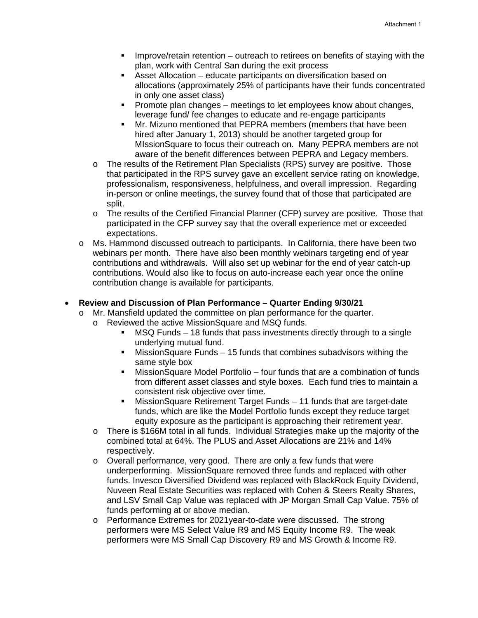- Improve/retain retention outreach to retirees on benefits of staying with the plan, work with Central San during the exit process
- Asset Allocation educate participants on diversification based on allocations (approximately 25% of participants have their funds concentrated in only one asset class)
- Promote plan changes meetings to let employees know about changes, leverage fund/ fee changes to educate and re-engage participants
- Mr. Mizuno mentioned that PEPRA members (members that have been hired after January 1, 2013) should be another targeted group for MIssionSquare to focus their outreach on. Many PEPRA members are not aware of the benefit differences between PEPRA and Legacy members.
- o The results of the Retirement Plan Specialists (RPS) survey are positive. Those that participated in the RPS survey gave an excellent service rating on knowledge, professionalism, responsiveness, helpfulness, and overall impression. Regarding in-person or online meetings, the survey found that of those that participated are split.
- o The results of the Certified Financial Planner (CFP) survey are positive. Those that participated in the CFP survey say that the overall experience met or exceeded expectations.
- o Ms. Hammond discussed outreach to participants. In California, there have been two webinars per month. There have also been monthly webinars targeting end of year contributions and withdrawals. Will also set up webinar for the end of year catch-up contributions. Would also like to focus on auto-increase each year once the online contribution change is available for participants.

## • **Review and Discussion of Plan Performance – Quarter Ending 9/30/21**

- o Mr. Mansfield updated the committee on plan performance for the quarter.
	- o Reviewed the active MissionSquare and MSQ funds.
		- MSQ Funds 18 funds that pass investments directly through to a single underlying mutual fund.
		- MissionSquare Funds 15 funds that combines subadvisors withing the same style box
		- MissionSquare Model Portfolio four funds that are a combination of funds from different asset classes and style boxes. Each fund tries to maintain a consistent risk objective over time.
		- MissionSquare Retirement Target Funds 11 funds that are target-date funds, which are like the Model Portfolio funds except they reduce target equity exposure as the participant is approaching their retirement year.
	- o There is \$166M total in all funds. Individual Strategies make up the majority of the combined total at 64%. The PLUS and Asset Allocations are 21% and 14% respectively.
	- o Overall performance, very good. There are only a few funds that were underperforming. MissionSquare removed three funds and replaced with other funds. Invesco Diversified Dividend was replaced with BlackRock Equity Dividend, Nuveen Real Estate Securities was replaced with Cohen & Steers Realty Shares, and LSV Small Cap Value was replaced with JP Morgan Small Cap Value. 75% of funds performing at or above median.
	- o Performance Extremes for 2021year-to-date were discussed. The strong performers were MS Select Value R9 and MS Equity Income R9. The weak performers were MS Small Cap Discovery R9 and MS Growth & Income R9.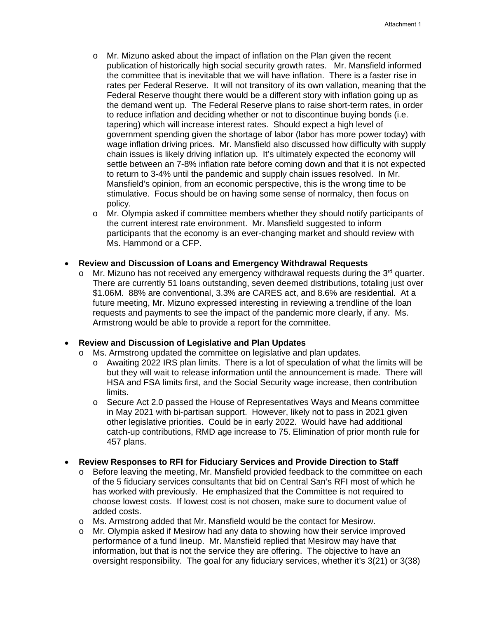- o Mr. Mizuno asked about the impact of inflation on the Plan given the recent publication of historically high social security growth rates. Mr. Mansfield informed the committee that is inevitable that we will have inflation. There is a faster rise in rates per Federal Reserve. It will not transitory of its own vallation, meaning that the Federal Reserve thought there would be a different story with inflation going up as the demand went up. The Federal Reserve plans to raise short-term rates, in order to reduce inflation and deciding whether or not to discontinue buying bonds (i.e. tapering) which will increase interest rates. Should expect a high level of government spending given the shortage of labor (labor has more power today) with wage inflation driving prices. Mr. Mansfield also discussed how difficulty with supply chain issues is likely driving inflation up. It's ultimately expected the economy will settle between an 7-8% inflation rate before coming down and that it is not expected to return to 3-4% until the pandemic and supply chain issues resolved. In Mr. Mansfield's opinion, from an economic perspective, this is the wrong time to be stimulative. Focus should be on having some sense of normalcy, then focus on policy.
- $\circ$  Mr. Olympia asked if committee members whether they should notify participants of the current interest rate environment. Mr. Mansfield suggested to inform participants that the economy is an ever-changing market and should review with Ms. Hammond or a CFP.

### • **Review and Discussion of Loans and Emergency Withdrawal Requests**

 $\circ$  Mr. Mizuno has not received any emergency withdrawal requests during the 3<sup>rd</sup> quarter. There are currently 51 loans outstanding, seven deemed distributions, totaling just over \$1.06M. 88% are conventional, 3.3% are CARES act, and 8.6% are residential. At a future meeting, Mr. Mizuno expressed interesting in reviewing a trendline of the loan requests and payments to see the impact of the pandemic more clearly, if any. Ms. Armstrong would be able to provide a report for the committee.

#### • **Review and Discussion of Legislative and Plan Updates**

- o Ms. Armstrong updated the committee on legislative and plan updates.
	- o Awaiting 2022 IRS plan limits. There is a lot of speculation of what the limits will be but they will wait to release information until the announcement is made. There will HSA and FSA limits first, and the Social Security wage increase, then contribution limits.
	- o Secure Act 2.0 passed the House of Representatives Ways and Means committee in May 2021 with bi-partisan support. However, likely not to pass in 2021 given other legislative priorities. Could be in early 2022. Would have had additional catch-up contributions, RMD age increase to 75. Elimination of prior month rule for 457 plans.
- **Review Responses to RFI for Fiduciary Services and Provide Direction to Staff**
	- o Before leaving the meeting, Mr. Mansfield provided feedback to the committee on each of the 5 fiduciary services consultants that bid on Central San's RFI most of which he has worked with previously. He emphasized that the Committee is not required to choose lowest costs. If lowest cost is not chosen, make sure to document value of added costs.
	- o Ms. Armstrong added that Mr. Mansfield would be the contact for Mesirow.
	- o Mr. Olympia asked if Mesirow had any data to showing how their service improved performance of a fund lineup. Mr. Mansfield replied that Mesirow may have that information, but that is not the service they are offering. The objective to have an oversight responsibility. The goal for any fiduciary services, whether it's 3(21) or 3(38)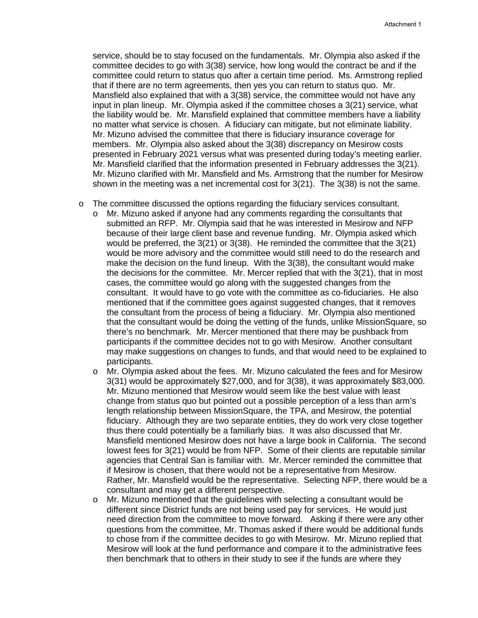service, should be to stay focused on the fundamentals. Mr. Olympia also asked if the committee decides to go with 3(38) service, how long would the contract be and if the committee could return to status quo after a certain time period. Ms. Armstrong replied that if there are no term agreements, then yes you can return to status quo. Mr. Mansfield also explained that with a 3(38) service, the committee would not have any input in plan lineup. Mr. Olympia asked if the committee choses a 3(21) service, what the liability would be. Mr. Mansfield explained that committee members have a liability no matter what service is chosen. A fiduciary can mitigate, but not eliminate liability. Mr. Mizuno advised the committee that there is fiduciary insurance coverage for members. Mr. Olympia also asked about the 3(38) discrepancy on Mesirow costs presented in February 2021 versus what was presented during today's meeting earlier. Mr. Mansfield clarified that the information presented in February addresses the 3(21). Mr. Mizuno clarified with Mr. Mansfield and Ms. Armstrong that the number for Mesirow shown in the meeting was a net incremental cost for 3(21). The 3(38) is not the same.

o The committee discussed the options regarding the fiduciary services consultant.

- o Mr. Mizuno asked if anyone had any comments regarding the consultants that submitted an RFP. Mr. Olympia said that he was interested in Mesirow and NFP because of their large client base and revenue funding. Mr. Olympia asked which would be preferred, the 3(21) or 3(38). He reminded the committee that the 3(21) would be more advisory and the committee would still need to do the research and make the decision on the fund lineup. With the 3(38), the consultant would make the decisions for the committee. Mr. Mercer replied that with the 3(21), that in most cases, the committee would go along with the suggested changes from the consultant. It would have to go vote with the committee as co-fiduciaries. He also mentioned that if the committee goes against suggested changes, that it removes the consultant from the process of being a fiduciary. Mr. Olympia also mentioned that the consultant would be doing the vetting of the funds, unlike MissionSquare, so there's no benchmark. Mr. Mercer mentioned that there may be pushback from participants if the committee decides not to go with Mesirow. Another consultant may make suggestions on changes to funds, and that would need to be explained to participants.
- o Mr. Olympia asked about the fees. Mr. Mizuno calculated the fees and for Mesirow 3(31) would be approximately \$27,000, and for 3(38), it was approximately \$83,000. Mr. Mizuno mentioned that Mesirow would seem like the best value with least change from status quo but pointed out a possible perception of a less than arm's length relationship between MissionSquare, the TPA, and Mesirow, the potential fiduciary. Although they are two separate entities, they do work very close together thus there could potentially be a familiarly bias. It was also discussed that Mr. Mansfield mentioned Mesirow does not have a large book in California. The second lowest fees for 3(21) would be from NFP. Some of their clients are reputable similar agencies that Central San is familiar with. Mr. Mercer reminded the committee that if Mesirow is chosen, that there would not be a representative from Mesirow. Rather, Mr. Mansfield would be the representative. Selecting NFP, there would be a consultant and may get a different perspective.
- o Mr. Mizuno mentioned that the guidelines with selecting a consultant would be different since District funds are not being used pay for services. He would just need direction from the committee to move forward. Asking if there were any other questions from the committee, Mr. Thomas asked if there would be additional funds to chose from if the committee decides to go with Mesirow. Mr. Mizuno replied that Mesirow will look at the fund performance and compare it to the administrative fees then benchmark that to others in their study to see if the funds are where they